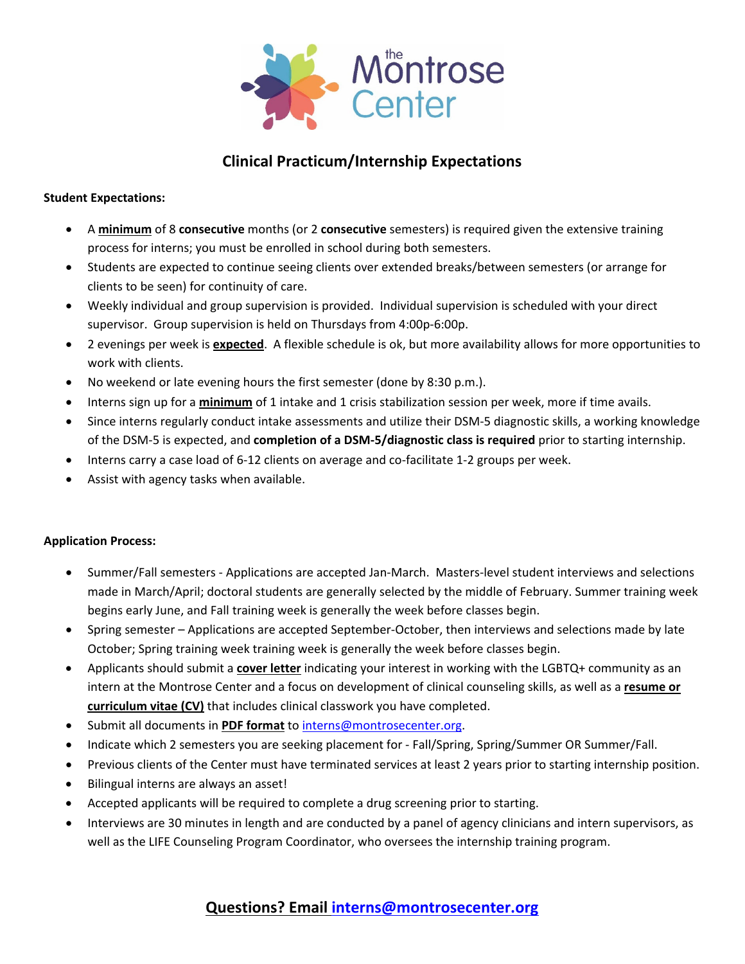

# **Clinical Practicum/Internship Expectations**

#### **Student Expectations:**

- A **minimum** of 8 **consecutive** months (or 2 **consecutive** semesters) is required given the extensive training process for interns; you must be enrolled in school during both semesters.
- Students are expected to continue seeing clients over extended breaks/between semesters (or arrange for clients to be seen) for continuity of care.
- Weekly individual and group supervision is provided. Individual supervision is scheduled with your direct supervisor. Group supervision is held on Thursdays from 4:00p‐6:00p.
- 2 evenings per week is **expected**. A flexible schedule is ok, but more availability allows for more opportunities to work with clients.
- No weekend or late evening hours the first semester (done by 8:30 p.m.).
- Interns sign up for a **minimum** of 1 intake and 1 crisis stabilization session per week, more if time avails.
- Since interns regularly conduct intake assessments and utilize their DSM‐5 diagnostic skills, a working knowledge of the DSM‐5 is expected, and **completion of a DSM‐5/diagnostic class is required** prior to starting internship.
- Interns carry a case load of 6-12 clients on average and co-facilitate 1-2 groups per week.
- Assist with agency tasks when available.

### **Application Process:**

- Summer/Fall semesters ‐ Applications are accepted Jan‐March. Masters‐level student interviews and selections made in March/April; doctoral students are generally selected by the middle of February. Summer training week begins early June, and Fall training week is generally the week before classes begin.
- Spring semester Applications are accepted September-October, then interviews and selections made by late October; Spring training week training week is generally the week before classes begin.
- Applicants should submit a **cover letter** indicating your interest in working with the LGBTQ+ community as an intern at the Montrose Center and a focus on development of clinical counseling skills, as well as a **resume or curriculum vitae (CV)** that includes clinical classwork you have completed.
- Submit all documents in **PDF format** to interns@montrosecenter.org.
- Indicate which 2 semesters you are seeking placement for ‐ Fall/Spring, Spring/Summer OR Summer/Fall.
- Previous clients of the Center must have terminated services at least 2 years prior to starting internship position.
- Bilingual interns are always an asset!
- Accepted applicants will be required to complete a drug screening prior to starting.
- Interviews are 30 minutes in length and are conducted by a panel of agency clinicians and intern supervisors, as well as the LIFE Counseling Program Coordinator, who oversees the internship training program.

## **Questions? Email interns@montrosecenter.org**